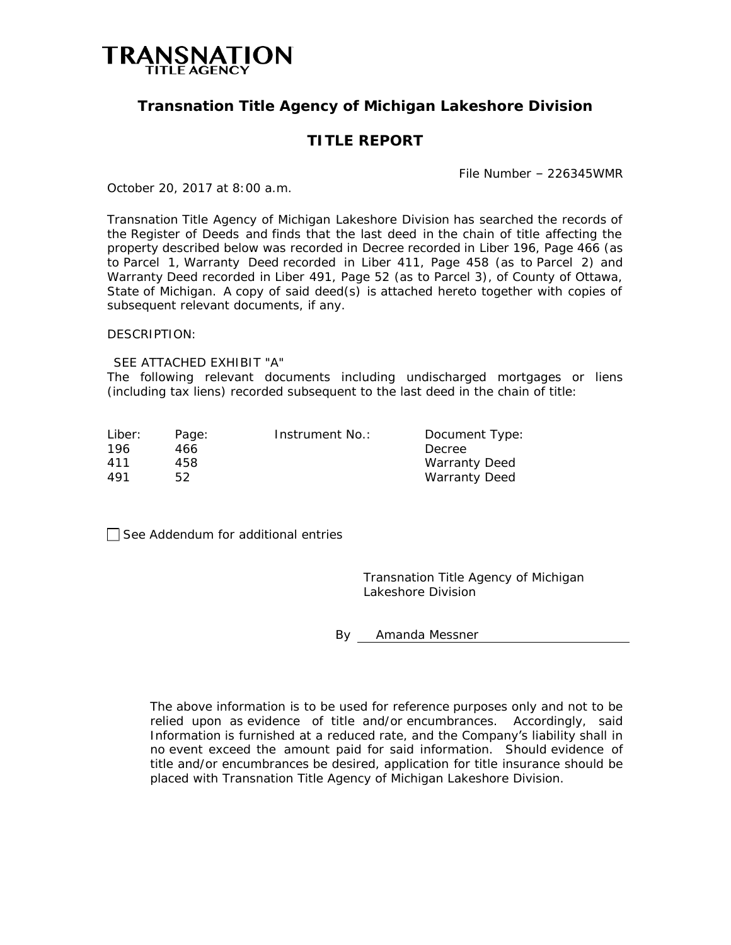

# **Transnation Title Agency of Michigan Lakeshore Division**

# **TITLE REPORT**

File Number – 226345WMR

October 20, 2017 at 8:00 a.m.

Transnation Title Agency of Michigan Lakeshore Division has searched the records of the Register of Deeds and finds that the last deed in the chain of title affecting the property described below was recorded in Decree recorded in Liber 196, Page 466 (as to Parcel 1, Warranty Deed recorded in Liber 411, Page 458 (as to Parcel 2) and Warranty Deed recorded in Liber 491, Page 52 (as to Parcel 3), of County of Ottawa, State of Michigan. A copy of said deed(s) is attached hereto together with copies of subsequent relevant documents, if any.

DESCRIPTION:

SEE ATTACHED EXHIBIT "A"

The following relevant documents including undischarged mortgages or liens (including tax liens) recorded subsequent to the last deed in the chain of title:

| Liber: | Page: | Instrument No.: | Document Type:       |
|--------|-------|-----------------|----------------------|
| 196    | 466   |                 | Decree               |
| 411    | 458.  |                 | <b>Warranty Deed</b> |
| 491    | 52    |                 | <b>Warranty Deed</b> |

 $\Box$  See Addendum for additional entries

Transnation Title Agency of Michigan Lakeshore Division

By Amanda Messner

The above information is to be used for reference purposes only and not to be relied upon as evidence of title and/or encumbrances. Accordingly, said Information is furnished at a reduced rate, and the Company's liability shall in no event exceed the amount paid for said information. Should evidence of title and/or encumbrances be desired, application for title insurance should be placed with Transnation Title Agency of Michigan Lakeshore Division.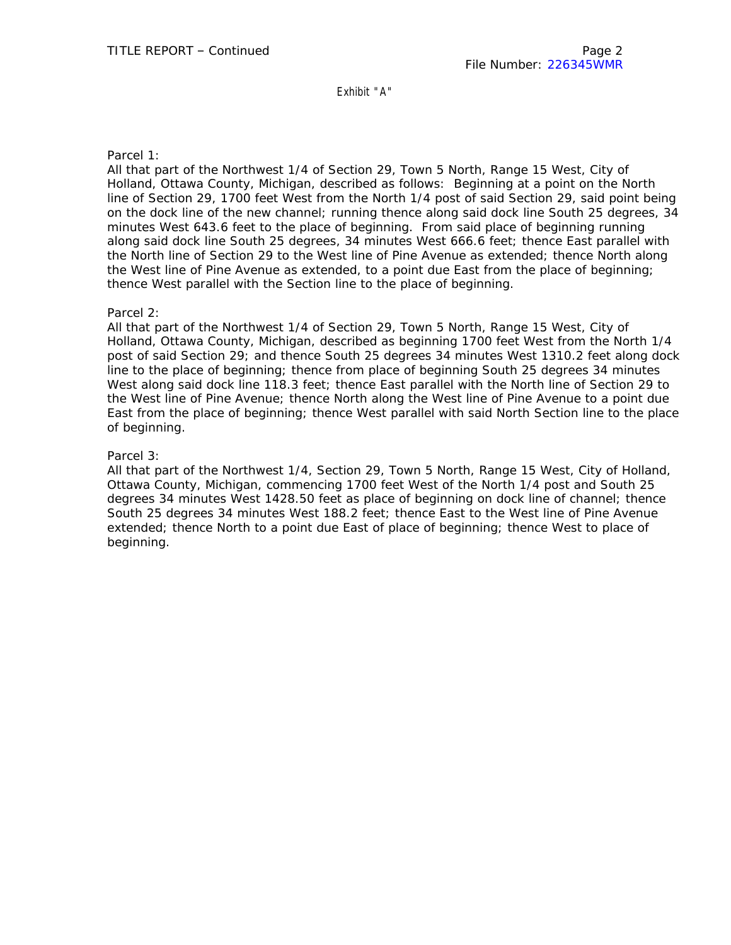Exhibit "A"

## Parcel 1:

All that part of the Northwest 1/4 of Section 29, Town 5 North, Range 15 West, City of Holland, Ottawa County, Michigan, described as follows: Beginning at a point on the North line of Section 29, 1700 feet West from the North 1/4 post of said Section 29, said point being on the dock line of the new channel; running thence along said dock line South 25 degrees, 34 minutes West 643.6 feet to the place of beginning. From said place of beginning running along said dock line South 25 degrees, 34 minutes West 666.6 feet; thence East parallel with the North line of Section 29 to the West line of Pine Avenue as extended; thence North along the West line of Pine Avenue as extended, to a point due East from the place of beginning; thence West parallel with the Section line to the place of beginning.

### Parcel 2:

All that part of the Northwest 1/4 of Section 29, Town 5 North, Range 15 West, City of Holland, Ottawa County, Michigan, described as beginning 1700 feet West from the North 1/4 post of said Section 29; and thence South 25 degrees 34 minutes West 1310.2 feet along dock line to the place of beginning; thence from place of beginning South 25 degrees 34 minutes West along said dock line 118.3 feet; thence East parallel with the North line of Section 29 to the West line of Pine Avenue; thence North along the West line of Pine Avenue to a point due East from the place of beginning; thence West parallel with said North Section line to the place of beginning.

## Parcel 3:

All that part of the Northwest 1/4, Section 29, Town 5 North, Range 15 West, City of Holland, Ottawa County, Michigan, commencing 1700 feet West of the North 1/4 post and South 25 degrees 34 minutes West 1428.50 feet as place of beginning on dock line of channel; thence South 25 degrees 34 minutes West 188.2 feet; thence East to the West line of Pine Avenue extended; thence North to a point due East of place of beginning; thence West to place of beginning.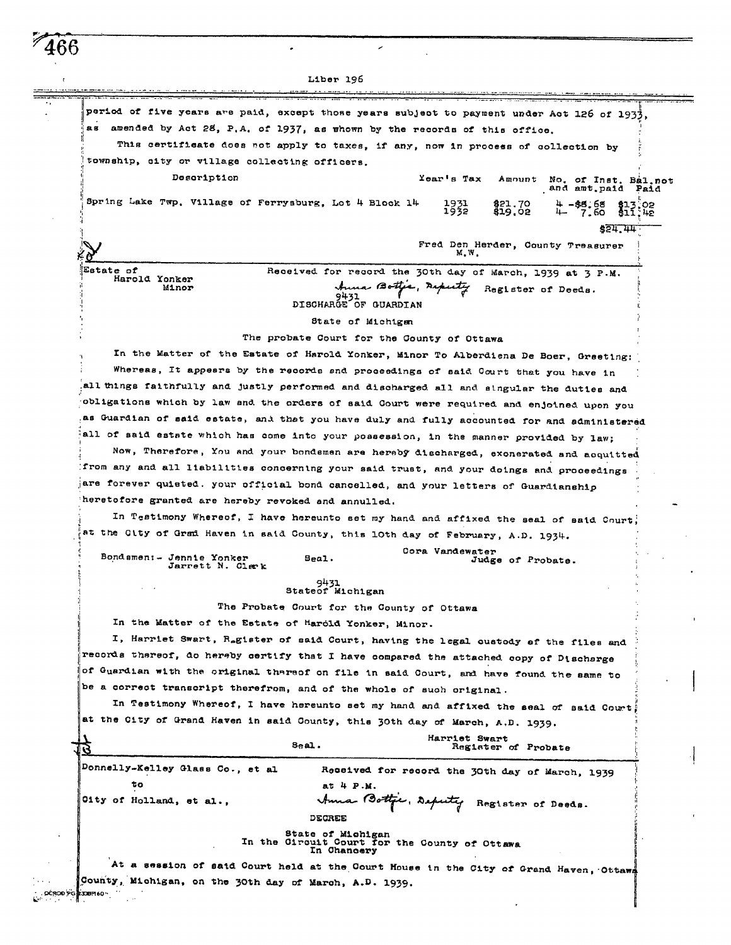|                                                        | Liber 196                                                                                   |
|--------------------------------------------------------|---------------------------------------------------------------------------------------------|
|                                                        |                                                                                             |
|                                                        | period of five years are paid, except those years subject to payment under Act 126 of 1933, |
|                                                        | as amended by Act 28, P.A. of 1937, as whown by the records of this office.                 |
|                                                        | This certificate does not apply to taxes, if any, now in process of collection by           |
| township, city or village collecting officers.         |                                                                                             |
| Description                                            | Year's Tax<br>Amount<br>No. of Inst. Bal.not                                                |
| Spring Lake Twp. Village of Ferrysburg, Lot 4 Block 14 | and amt.paid<br>Paid<br>1931<br>1932<br>821.70<br>\$19.02<br>$+ -$ \$8.68<br>$+ - 7.60$     |
|                                                        |                                                                                             |
|                                                        | \$51.44                                                                                     |
|                                                        | Fred Den Herder, County Treasurer<br>M.W.                                                   |
| Estate of<br>Harold Yonker                             | Received for record the 30th day of March, 1939 at 3 P.M.                                   |
| Minor                                                  | Anna Botter, Askuty<br>Register of Deeds.                                                   |
|                                                        | 9431<br>DISCHARGE OF GUARDIAN                                                               |
|                                                        | State of Michigan                                                                           |
|                                                        | The probate Court for the County of Ottawa                                                  |
|                                                        | In the Matter of the Estate of Harold Yonker, Minor To Alberdiena De Boer, Greeting:        |
|                                                        | Whereas, It appears by the records and proceedings of said Court that you have in           |
|                                                        | all things faithfully and justly performed and discharged all and singular the duties and   |
|                                                        | obligations which by law and the orders of said Court were required and enjoined upon you   |
|                                                        | as Guardian of said estate, and that you have duly and fully accounted for and administered |
|                                                        | all of said estate which has come into your possession, in the manner provided by law;      |
|                                                        | Now, Therefore, You and your bondemen are hereby discharged, exonerated and acquitted       |
|                                                        | from any and all liabilities concerning your said trust, and your doings and proceedings    |
|                                                        | are forever quieted. your official bond cancelled, and your letters of Guardianship         |
| heretofore granted are hereby revoked and annulled.    |                                                                                             |
|                                                        | In Testimony Whereof, I have hereunto set my hand and affixed the seal of said Court;       |
|                                                        | at the Gity of Grad Haven in said County, this lOth day of February, A.D. 1934.             |
|                                                        | Cora Vandewater                                                                             |
| Bondamen:- Jennie Yonker<br>חותנהפרו אי חדופטול        | Seal.<br>Judge of Probate.                                                                  |
|                                                        | 9431                                                                                        |
|                                                        | Stateof Michigan                                                                            |
|                                                        | The Probate Court for the County of Ottawa                                                  |
| In the Matter of the Estate of Harold Yonker, Minor.   |                                                                                             |
|                                                        | I, Harriet Swart, Ragister of said Court, having the legal oustody of the files and         |
|                                                        | records thereof, do hereby certify that I have compared the attached copy of Discharge      |
|                                                        | of Guardian with the original thareof on file in said Court, and have found the same to     |
|                                                        | be a correct transcript therefrom, and of the whole of such original.                       |
|                                                        | In Testimony Whereof, I have hereunto set my hand and affixed the seal of said Court,       |
|                                                        | at the City of Grand Haven in said County, this 30th day of March, A.D. 1939.               |
|                                                        | Harriet Swart<br>Seal.<br>Register of Probate                                               |
| Donnelly-Kelley Glass Co., et al                       | Received for record the 30th day of March, 1939                                             |
| τo                                                     | at 4 P.M.                                                                                   |
| Oity of Holland, et al.,                               |                                                                                             |
|                                                        | Anna Bottpe, Deputy Register of Doods.<br>DECREE                                            |
|                                                        | State of Michigan                                                                           |
|                                                        | In the Circuit Court for the County of Ottawa<br>In Chancery                                |
|                                                        | At a session of said Court held at the Court House in the City of Grand Haven, Ottawa       |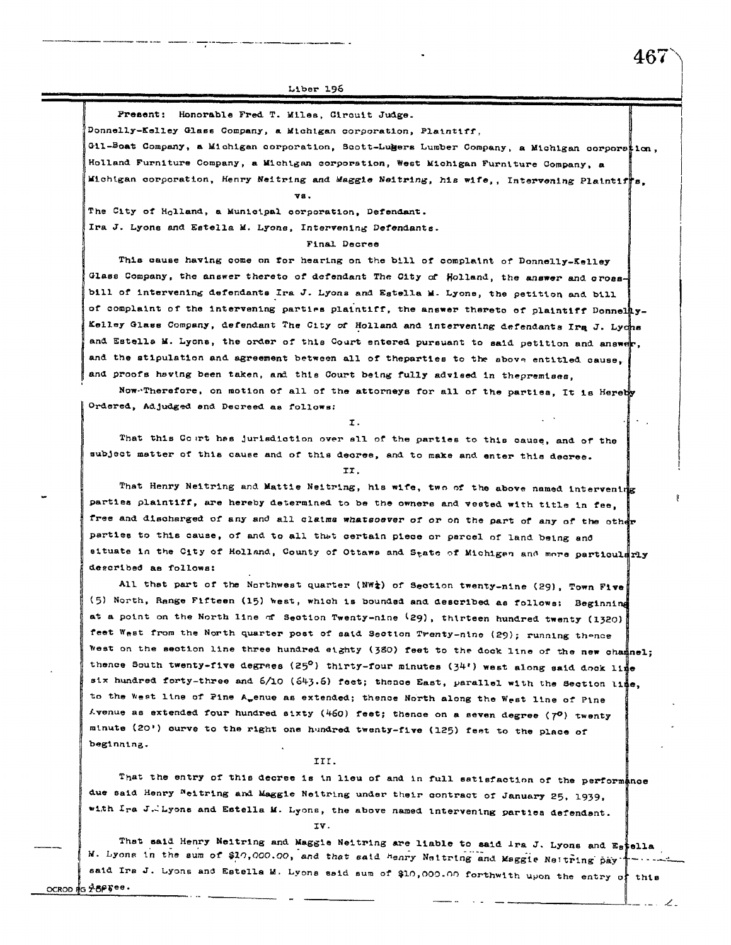Present: Honorable Fred T. Miles, Circuit Judge.

Donnelly-Kelley Glass Company, a Michigan corporation, Plaintiff,

vs.

Gil-Boat Company, a Michigan corporation, Scott-Lugers Lumber Company, a Michigan corporation, Holland Furniture Company, a Michigan corporation, West Michigan Furniture Company, a Michigan corporation, Henry Neitring and Maggie Neitring, his wife,, Intervening Plaintiffs.

The City of Holland, a Municipal corporation, Defendant. Ira J. Lyons and Estella M. Lyons, Intervening Defendants.

Final Decree

This cause having come on for hearing on the bill of complaint of Donnelly-Kelley Glass Company, the answer thereto of defendant The City of Holland, the answer and crossbill of intervening defendants Ira J. Lyons and Estella M. Lyons, the petition and bill of complaint of the intervening parties plaintiff, the answer thereto of plaintiff Donnelay-Kelley Glass Company, defendant The City of Holland and intervening defendants Ira J. Lychs and Estella M. Lyons, the order of this Court entered pursuant to said petition and answer, and the stipulation and agreement between all of theparties to the above entitled cause. and proofs having been taken, and this Court being fully advised in thepremises,

Now-Therefore, on motion of all of the attorneys for all of the parties, It is Herety Ordered, Adjudged and Decreed as follows:

That this Court has jurisdiction over all of the parties to this cause, and of the subject matter of this cause and of this decree, and to make and enter this decree.

II.

That Henry Neitring and Mattie Neitring, his wife, two of the above named intervening parties plaintiff, are hereby determined to be the owners and vested with title in fee, free and discharged of any and all claims whatsoever of or on the part of any of the other parties to this cause, of and to all that certain piece or parcel of land being and situate in the City of Holland, County of Ottaws and State of Michigan and more particularly described as follows:

All that part of the Northwest quarter (NW<sup>2</sup>) of Section twenty-nine (29), Town Five (5) North, Range Fifteen (15) west, which is bounded and described as follows: Beginning at a point on the North line of Section Twenty-nine (29), thirteen hundred twenty (1320) feet West from the North quarter post of said Section Trenty-nine (29); running thence West on the section line three hundred eighty (380) feet to the dock line of the new chamnel; thence South twenty-five degrees (25°) thirty-four minutes (34') west along said dock lip six hundred forty-three and 6/10 (643.6) feet; thence East, parallel with the Section line, to the West line of Pine A<sub>w</sub>enue as extended; thence North along the West line of Pine Avenue as extended four hundred sixty (460) feet; thence on a seven degree ( $7^0$ ) twenty minute (20') ourve to the right one hundred twenty-five (125) feet to the place of beginning.

TTT.

That the entry of this decree is in lieu of and in full satisfaction of the performance due said Henry Neitring and Maggie Neitring under their contract of January 25, 1939, with Ira J. Lyons and Estella M. Lyons, the above named intervening parties defendant. TV.

That said Henry Neitring and Maggie Neitring are liable to said ira J. Lyons and Estella M. Lyons in the sum of \$10,000.00, and that said henry Neitring and Maggie Neitring pay said Irs J. Lyons and Estella M. Lyons said sum of \$10,000.00 forthwith upon the entry of this OCROD RG Z8FFee.

467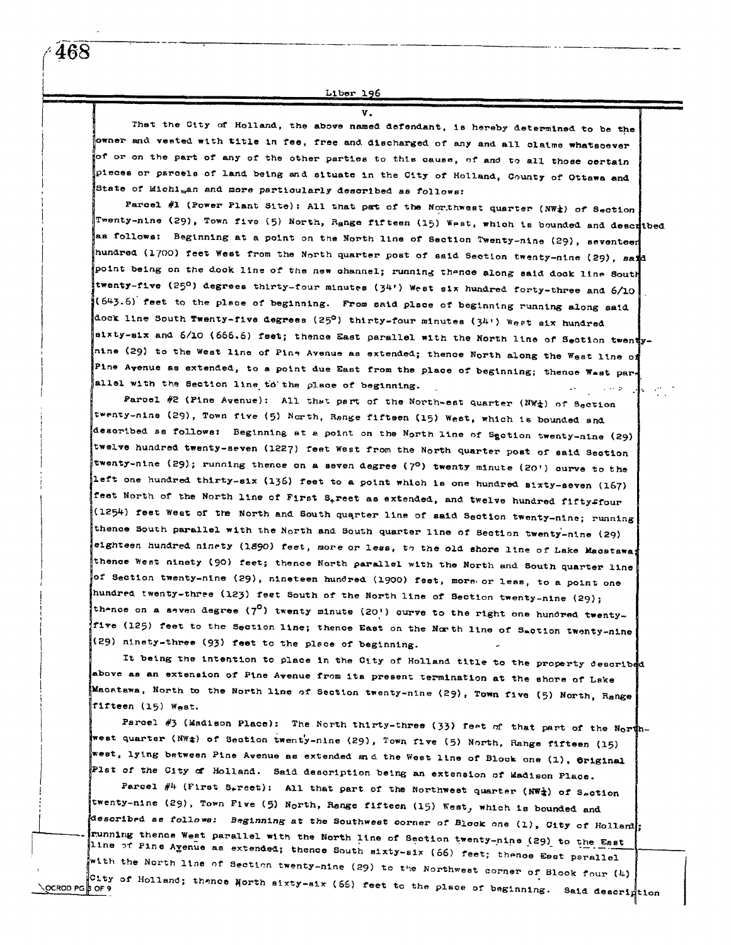<u>Liber 196</u>

That the City of Holland, the above named defendant, is hereby determined to be the owner and vested with title in fee, free and discharged of any and all claims whatsoever of or on the part of any of the other parties to this cause, of and to all those certain pieces or parcels of land being and situate in the City of Holland, County of Ottawa and State of Michi<sub>b</sub>an and more particularly described as follows:

v

Parcel #1 (Power Plant Site): All that pat of the Northwest quarter (NW<sub>4</sub>) of Section Twenty-nine (29), Town five (5) North, Range fifteen (15) West, which is bounded and described as follows: Beginning at a point on the North line of Section Twenty-nine (29), seventeer hundred (1700) feet West from the North quarter post of said Section twenty-nine (29), sand point being on the dook line of the new channel; running thence along said dook line South twenty-five (25°) degrees thirty-four minutes (34') West six hundred forty-three and 6/10 (643.6) feet to the place of beginning. From said place of beginning running along said dock line South Twenty-five degrees (25°) thirty-four minutes (34') West six hundred sixty-six and 6/10 (666.6) feet; thence East parallel with the North line of Section twenty. nine (29) to the West line of Pine Avenue as extended; thence North along the West line of Pine Avenue as extended, to a point due East from the place of beginning; thence Wast parallel with the Section line to the place of beginning.  $\alpha$  , and  $\alpha$ 

Parcel #2 (Pine Avenue): All that part of the Northwest quarter (NW<sup>\*</sup>) of 8ection twenty-nine (29), Town five (5) North, Range fiftsen (15) West, which is bounded and described as follows: Beginning at a point on the North line of Sgotion twenty-nine (29) twelve hundred twenty-seven (1227) feet West from the North quarter post of said Section twenty-nine (29); running thence on a seven degree (7<sup>0</sup>) twenty minute (20') curve to the left one hundred thirty-six (136) feet to a point which is one hundred sixty-seven (167) feet North of the North line of First S<sub>t</sub>reet as extended, and twelve hundred fiftyffour (1254) feet West of the North and South quarter line of said Section twenty-nine; running thence South parallel with the North and South quarter line of Section twenty-nine (29) eighteen hundred ninety (1890) feet, more or less, to the old shore line of Lake Macstawa thence West ninety (90) feet; thence North parallel with the North and South quarter line of Section twenty-nine (29), nineteen hundred (1900) feet, more or less, to a point one hundred twenty-three (123) feet South of the North line of Section twenty-nine (29); thence on a seven degree (7<sup>0</sup>) twenty minute (20') curve to the right one hundred twentyfive (125) feet to the Section line; thence East on the North line of Saction twenty-nine (29) ninety-three (93) feet to the place of beginning.

It being the intention to place in the City of Holland title to the property described above as an extension of Pine Avenue from its present termination at the shore of Lake Macatawa, North to the North line of Section twenty-nine (29), Town five (5) North, Range fifteen (15) West.

Parcel #3 (Madison Place): The North thirty-three (33) feet of that part of the Northwest quarter (NWt) of Section twenty-nine (29), Town five (5) North, Range fifteen (15) west, lying between Pine Avenue as extended *a*nd the West line of Block one (1), Original Plat of the City of Holland. Said description being an extension of Madison Place.

Parcel #4 (First S<sub>r</sub>reet): All that part of the Northwest quarter (NW<sub>4</sub>) of S<sub>e</sub>ction twenty-nine (29), Town Five (5) North, Range fifteen (15) West, which is bounded and described as follows: Beginning at the Southwest corner of Block one (1), City of Hollam!; running thence West parallel with the North line of Section twenty-nine (29) to the East line of Pine Agenue as extended; thence South sixty-six (66) feet; thence East psrallel with the North line of Section twenty-nine (29) to the Northwest corner of Blook four (4) City of Holland; thence North sixty-six (66) feet to the place of beginning. Said descrimtion ∖्OCROD PG βor 9

468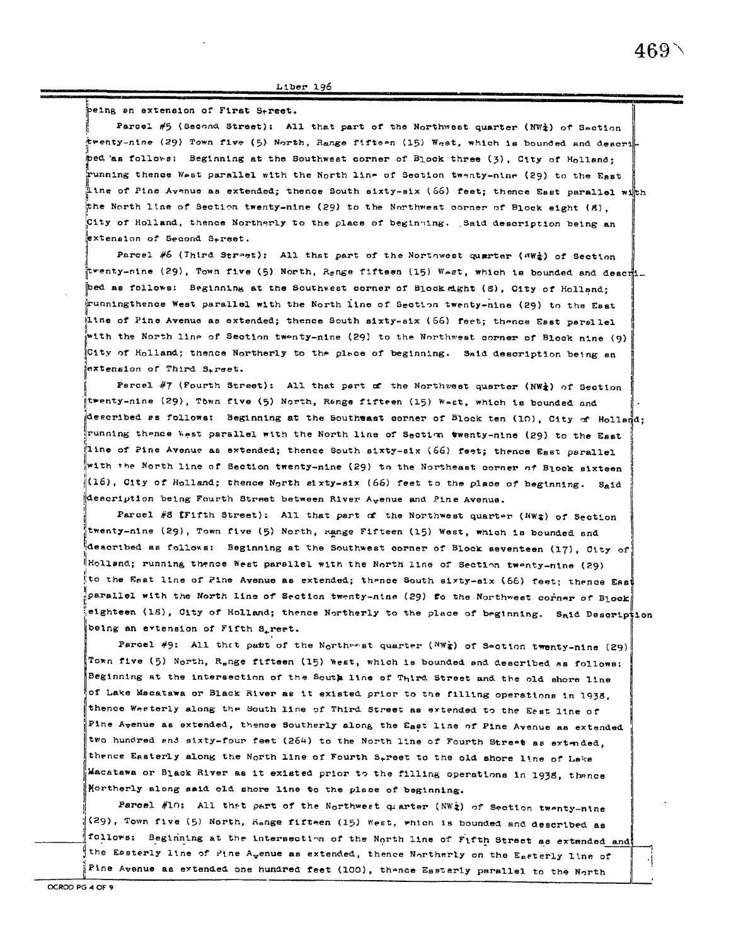peing an extension of First S+reet.

Parcel #5 (Second Street): All that part of the Northwest quarter (NW\}) of Saction twenty-nine (29) Town five (5) North, Range fifteen (15) West, which is bounded and descri ped as follows: Beginning at the Southwest corner of Block three (3), City of Holland; running thence West parallel with the North line of Section twenty-nine (29) to the East  $^{\prime\prime}_{\bot}$ ine of Pine Avenue as extended; thence South sixty-six (66) feet; thence Esst parallel wi $^{\prime\prime}_{\bot}$ th the North line of Section twenty-nine (29) to the Northwest corner of Block eight (8). City of Holland, thence Northerly to the place of beginning. Said description being an extension of Second S<sub>treet.</sub>

Parcel #6 (Inird Street): All that part of the Nortnwest quarter (NW<sub>4</sub>) of Section twenty-nine (29), Town five (5) North, Renge fifteen (15) West, which is bounded and descri bed as follows: Beginning at the Southwest corner of Block dght (S), City of Holland; runningthence West parallel with the North line of Section twenty-nine (29) to the East iline of Pine Avenue as extended; thence South sixty-six (56) feet; thence Esst parallel with the North line of Section twenty-nine (29) to the Northwest corner of Block nine (9) City of Holland; thence Northerly to the place of beginning. Said description being an extension of Third S.reet.

Parcel #7 (Fourth Street): All that part of the Northwest quarter (NW<sub>4</sub>) of Section trenty-nine (29), Tòwn five (5) North, Range fifteen (15) Wast, which is bounded and described as follows: Beginning at the Southwast corner of Block ten (10), City of Holland; running thence west parallel with the North line of Section twenty-nine (29) to the East line of Pine Avenue as extended; thence South sixty-six (66) feet; thence East parallel with the North line of Section twenty-nine (29) to the Northeast corner of Block sixteen (16), City of Holland; thence North sixty-six (66) feet to the place of beginning. Said  $^4$ description being Fourth Street between River A<sub>v</sub>enue and Pine Avenue.

Parcel #8 [Fifth Street): All that part of the Northwest quarter (NW\$) of Section twenty-nine (29), Town five (5) North, mange Fifteen (15) West, which is bounded and described as follows: Beginning at the Southwest corner of Block seventeen (17), City of Holland; running thence West parallel with the North line of Section twenty-nine (29) to the East line of Pine Avenue as extended; thence South sixty-six (66) feet; thence East parallel with the North line of Section twenty-nine (29) fo the Northwest corner of Block eighteen (18), City of Holland; thence Northerly to the place of beginning. Said Description being an extension of Fifth S<sub>r</sub>reet.

Parcel #9: All that patt of the Northwest quarter (NWt) of Section twenty-nine (29) Town five (5) North, R<sub>e</sub>nge fifteen (15) West, which is bounded and described as follows: Beginning at the intersection of the South line of Third Street and the old shore line of Lake Macatawa or Black River as it existed prior to the filling operations in 1938, thence Westerly along the South line of Third Street as extended to the Esst line of Pine Avenue as extended, thence Southerly along the East line of Pine Avenue as extended two hundred and sixty-four feet (264) to the North line of Fourth Street as extended, thence Easterly along the North line of Fourth S<sub>t</sub>reet to the old shore line of Leke Macatawa or Black River as it existed prior to the filling operations in 1938, thance Northerly along said old shore line to the place of beginning.

Parcel #10: All that part of the Northwest quarter (NW2) of Section twenty-nine (29), Town five (5) North, Hange fifteen (15) West, which is bounded and described as follows: Beginning at the intersection of the North line of Fifth Street as extended and the Easterly line of Pine A<sub>v</sub>enue as extended, thence Northerly on the Easterly line of Pine Avenue as extended one hundred feet (100), thence Easterly parallel to the North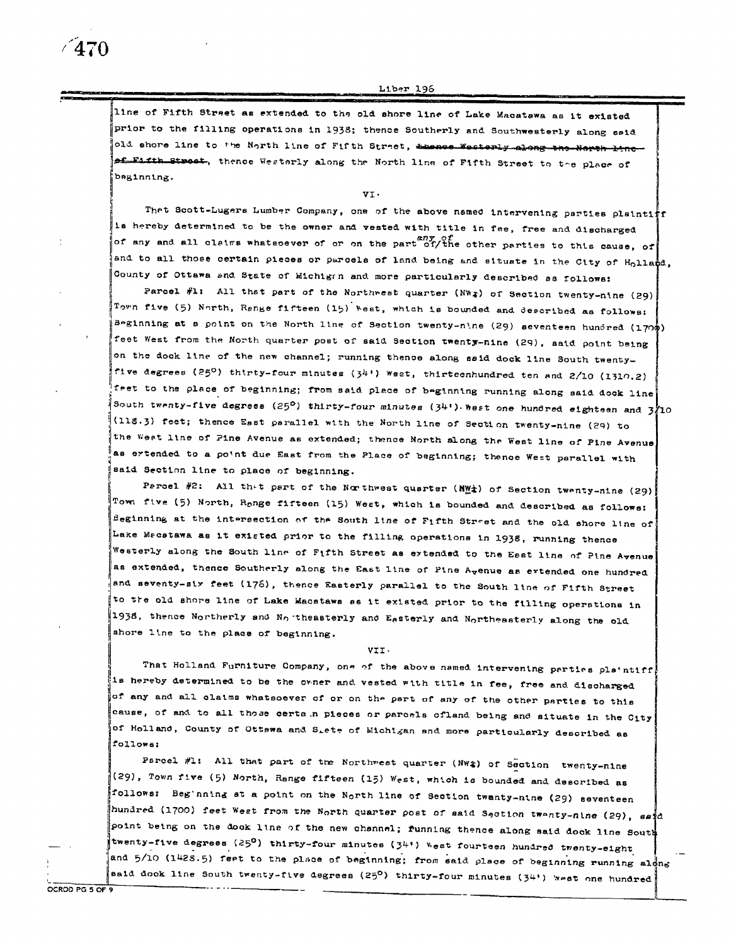line of Fifth Street as extended to the old shore line of Lake Macatawa as it existed prior to the filling operations in 1938; thence Southerly and Southwesterly along said old shore line to the North line of Fifth Street, thence Westerly along the North line of Fifth Street, thence Westerly along the North line of Fifth Street to the place of beginning.

UT.

Thet Scott-Lugers Lumber Company, one of the above named intervening parties plaintitr Is hereby determined to be the owner and vested with title in fee, free and discharged of any and all claims whatsoever of or on the part of the other parties to this cause, of and to all those certain pieces or parcels of land being and situate in the City of H<sub>o</sub>lland, County of Ottawa and State of Michigan and more particularly described as follows:

Parcel #1: All that part of the Northwest quarter (NW<sub>4</sub>) of Section twenty-nine (29) Town five (5) North, Range fifteen (15) West, which is bounded and described as follows: seginning at a point on the North line of Section twenty-nine (29) seventeen hundred (1700) feet West from the North quarter post of said Section twenty-nine (29), aaid point being on the dock line of the new channel; running thence along said dock line South twentyfive degrees (25°) thirty-four minutes (34′) Weat, thirteenhundred ten and 2/10 (1310.2) feet to the place of beginning; from said place of beginning running along said dock line South twenty-five degrees (25°) thirty-four minutes (34') West one hundred eighteen and 3710 (118.3) feet; thence East parallel with the North line of Section twenty-nine (29) to the West line of Fine Avenue as extended; thence North along the West line of Pine Avenue as ertended to a point due East from the Place of beginning; thence West parallel with said Section line to place of beginning.

Parcel #2: All th-t part of the Northwest quarter ( $M_{\text{max}}^{\text{w}}$ ) of Section twenty-nine (29) Town five (5) North, Range fifteen (15) Weet, which is bounded and described as follows: Beginning at the intersection of the South line of Fifth Street and the old shore line of Lake Mecstawa as it existed prior to the filling operations in 1938, running thence Westerly along the South line of Fifth Street as extended to the East line of Pine Avenue as extended, thence Southerly along the East line of Pine A<sub>v</sub>enue as ertended one hundred and seventy-six feet (176), thence Easterly parallel to the South line of Fifth Street to the old shore line of Lake Macatawa as it existed prior to the filling operations in 1938, thence Northerly and No theasterly and Easterly and Northeasterly along the old shore line to the place of beginning.

VII.

That Holland Furniture Company, one of the above named intervening perties plaintiff. is hereby determined to be the owner and vested with title in fee, free and discharged of any and all claims whatsoever of or on the part of any of the other parties to this cause, of and to all those certa n pieces or parcels ofland being and situate in the City of Holland, County of Ottewa and Siete of Michigan and more particularly described as follows:

Parcel #1: All that part of the Northwest quarter (NW#) of Section twenty-nine (29), Town five (5) North, Range fifteen (15) West, which is bounded and described as follows: Beg nning at a point on the North line of Section twanty-nine (29) seventeen hundred (1700) feet West from the North quarter post of said Section twenty-nine (29), said point being on the dock line of the new channel; funning thence along said dock line South twenty-five degrees (25<sup>0</sup>) thirty-four minutes (34") West fourteen hundred twenty-eight and 5/10 (1428.5) feet to the place of beginning; from said place of beginning running along said dook line South twenty-five degrees (25<sup>0</sup>) thirty-four minutes (34') west one hundred

OCROD PG 5 OF 9

 $\sqrt{470}$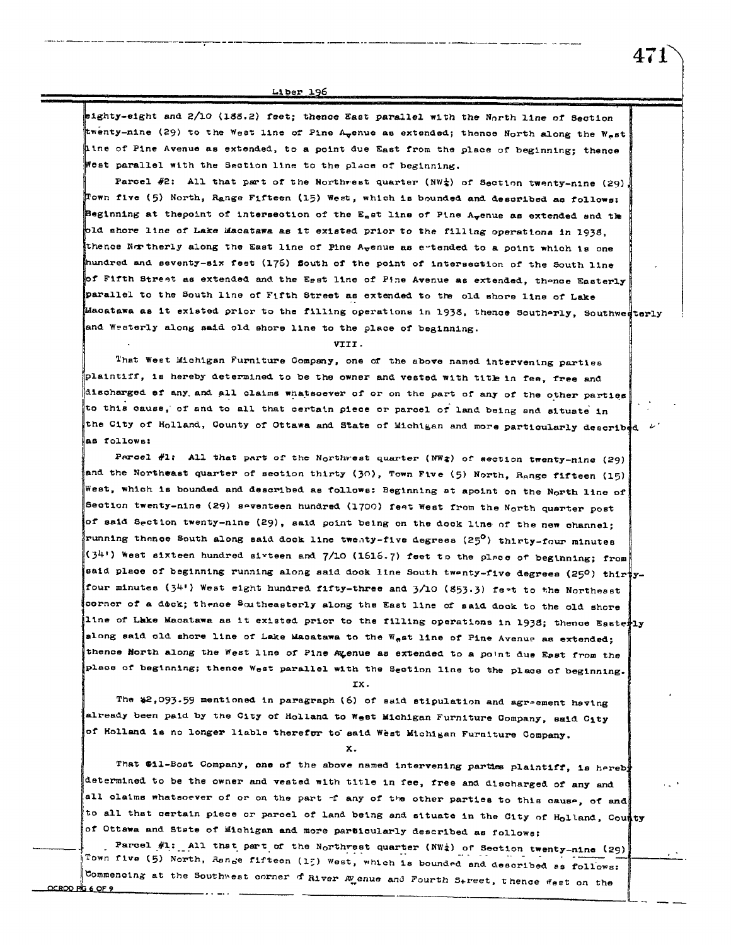sighty-eight and 2/10 (188.2) feet; thence East parallel with the North line of Section twenty-nine (29) to the West line of Pine A<sub>v</sub>enue as extended; thence North along the West Line of Pine Avenue as extended, to a point due East from the place of beginning; thence West parallel with the Section line to the place of beginning.

Parcel #2: All that part of the Northwest quarter (NW $_{2}$ ) of Section twenty-nine (29), Town five (5) North, Range Fifteen (15) West, which is bounded and described as follows: Beginning at thepoint of intersection of the E<sub>n</sub>st line of Pine A<sub>v</sub>enue as extended and the old shore line of Lake Macatawa as it existed prior to the filling operations in 1938, thence Northerly along the East line of Pine A<sub>v</sub>enue as extended to a point which is one hundred and seventy-six feet (176) South of the point of intersection of the South line of Fifth Street as extended and the Egst line of Pine Avenue as extended, thence Easterly parallel to the South line of Fifth Street as extended to the old shore line of Lake Macatawa as it existed prior to the filling operations in 1938, thence Southerly, Southwedterly and Westerly along said old shore line to the place of beginning.

VIII.

That West Michigan Furniture Company, one of the above named intervening parties plaintiff, is hereby determined to be the owner and vested with title in fee, free and discharged of any and all claims whatsoever of or on the part of any of the other parties to this cause, of and to all that certain piece or parcel of land being and situate in the City of Holland, County of Ottawa and State of Michigan and more particularly described  $\nu$ as follows:

Parcel #1: All that part of the Northwest quarter (NW $\hat{z}$ ) of section twenty-nine (29) and the Northeast quarter of section thirty (30), Town Five (5) North, Range fifteen (15) West, which is bounded and described as follows: Beginning at apoint on the North line of Section twenty-nine (29) seventeen hundred (1700) feet West from the North quarter post of said Section twenty-nine (29), said point being on the dock line of the new channel; running thence South along said dock line twenty-five degrees (25<sup>0</sup>) thirty-four minutes (34') West sixteen hundred sixteen and 7/10 (1616.7) feet to the place of beginning; from said place of beginning running along said dock line South twenty-five degrees (250) thir yfour minutes (34') West eight hundred fifty-three and 3/10 (853.3) fest to the Northesst corner of a dock; thence Southeasterly along the East line of said dock to the old shore line of Lake Macatawa as it existed prior to the filling operations in 1938; thence Easterly along said old shore line of Lake Macatawa to the West line of Pine Avenue as extended; thence North along the West line of Pine Ayenue as extended to a point due East from the place of beginning; thence West parallel with the Section line to the place of beginning.

IX.

The \$2,093.59 mentioned in paragraph (6) of said stipulation and agreement having already been paid by the City of Holland to West Michigan Furniture Company, said City of Holland is no longer liable therefor to said West Michigan Furniture Company.

 $\mathbf{x}$ .

That \$11-Bost Company, one of the above named intervening parties plaintiff, is hereb determined to be the owner and vested with title in fee, free and discharged of any and all claims whatsoever of or on the part of any of the other parties to this cause, of and to all that certain piece or parcel of land being and situate in the City of Holland, County of Ottawa and State of Michigan and more particularly described as follows:

Parcel #1: All that part of the Northrest quarter (NW $\frac{1}{4}$ ) of Section twenty-nine (29) Town five (5) North, Range fifteen (15) West, which is bounded and described as follows: Commencing at the Southwest corner of River A enue and Fourth Street, thence West on the

<u>OCRODERS 6 OF 9</u>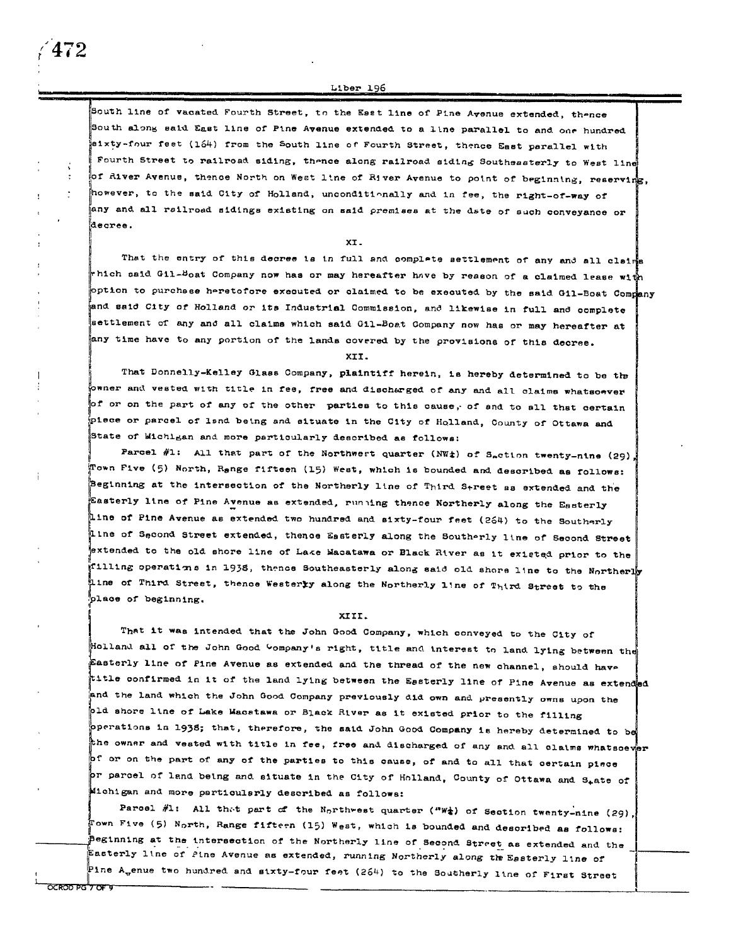South line of vacated Fourth Street, to the Esst line of Pine Avenue extended, thence South along said East line of Pine Avenue extended to a line parallel to and one hundred eixty-four feet (164) from the South line of Fourth Street, thence East parallel with Fourth Street to railroad siding, thence along railroad siding Southeasterly to West line of River Avenue, thence North on West line of River Avenue to point of beginning, reserving, however, to the said City of Holland, unconditionally and in fee, the right-of-way of any and all railroad sidings existing on said premises at the date of such conveyance or decree.

XT.

That the entry of this decree is in full and complete settlement of any and all claims rhich said Gil-Boat Company now has or may hereafter have by reason of a claimed lease wit option to purchase heretofore executed or claimed to be executed by the said Gil-Boat Company and said City of Holland or its Industrial Commission, and likewise in full and complete settlement of any and all claims which said Gil-Boat Company now has or may hereafter at any time have to any portion of the lands covered by the provisions of this decree.

XII.

That Donnelly-Kelley Glass Company, plaintiff herein, is hereby determined to be the owner and vested with title in fee, free and discharged of any and all claims whatsoever of or on the part of any of the other parties to this cause, of and to all that certain piece or parcel of land being and situate in the City of Holland, County of Ottawa and State of Michigan and more particularly described as follows:

Parcel #1: All that part of the Northwert quarter (NWt) of Saction twenty-nine (29), Town Five (5) North, Range fifteen (15) West, which is bounded and described as follows: Beginning at the intersection of the Northerly line of Third Street as extended and the Easterly line of Pine Avenue as extended, running thence Northerly along the Easterly Line of Pine Avenue as extended two hundred and sixty-four feet (264) to the Southerly Line of Second Street extended, thence Easterly along the Southerly line of Second Street extended to the old shore line of Lake Macatawa or Black River as it existed prior to the rilling operations in 1938, thence Southeasterly along said old shore line to the Northerly line of Third Street, thence Westerly along the Northerly line of Third Street to the place of beginning.

### XIII.

That it was intended that the John Good Company, which conveyed to the City of Holland all of the John Good Company's right, title and interest to land lying between the Easterly line of Pine Avenue as extended and the thread of the new channel, should have title confirmed in it of the land lying between the Essterly line of Pine Avenue as extended and the land which the John Good Company previously did own and presently owns upon the pld shore line of Lake Macstawa or Black River as it existed prior to the filling operations in 1938; that, therefore, the said John Good Company is hereby determined to be the owner and vested with title in fee, free and discharged of any and all claims whatsoever of or on the part of any of the parties to this cause, of and to all that certain piece pr parcel of land being and situate in the City of Holland, County of Ottawa and S<sub>r</sub>ate of Michigan and more particularly described as follows:

Paroel #1: All that part of the Northwest quarter ("W\*) of Section twenty-nine (29), .<br>Fown Five (5) North, Range fifteen (15) West, which is bounded and described as follows: peginning at the intersection of the Northerly line of Second Street as extended and the Easterly line of Pine Avenue as extended, running Northerly along the Easterly line of

Pine Agenue two hundred and sixty-four feet (264) to the Southerly line of First Street

472

 $\frac{1}{1}$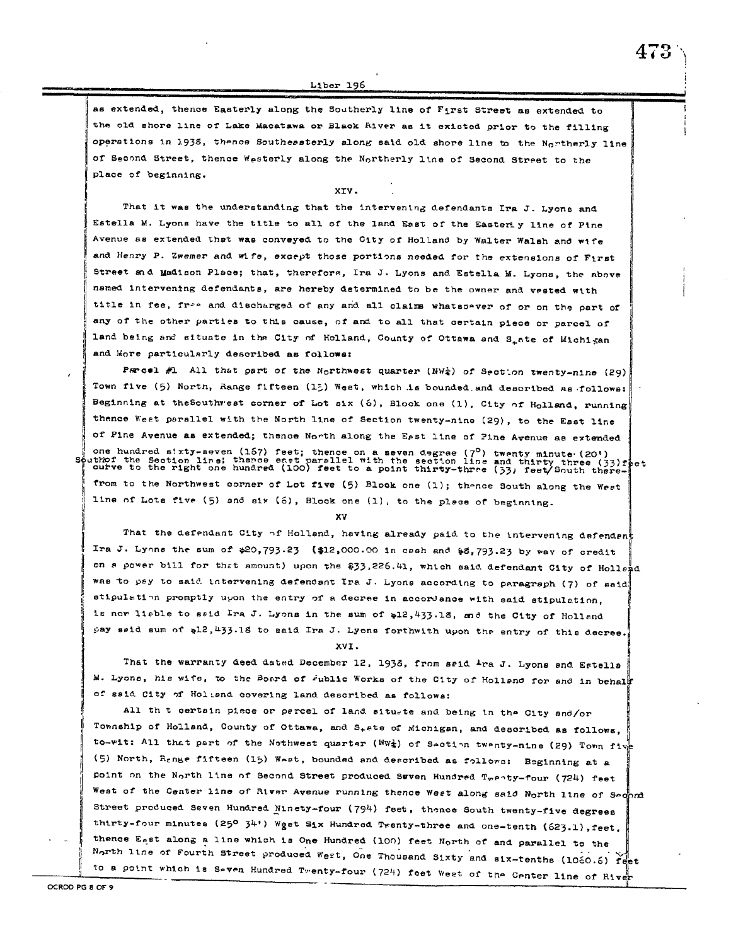as extended, thence Easterly along the Southerly line of First Street as extended to the old shore line of Lake Macatawa or Black fiver as it existed orior to the filling operations in 1938, thence Southessterly along said old shore line to the Northerly line of Second Street, thence Westerly along the Northerly line of Second Street to the place of beginning.

473

#### XTV.

That it was the understanding that the intervening defendants Ira J. Lyons and Estella M. Lyons have the title to all of the land East of the Easterly line of Pine Avenue as extended that was conveyed to the City of Holland by Walter Walsh and wife and Henry P. Zwemer and wife, except those portions needed for the extensions of First Street and Madison Place; that, therefore, Ira J. Lyons and Estella M. Lyons, the above named intervening defendants, are hereby determined to be the owner and vested with title in fee, free and discharged of any and all claims whatsoever of or on the part of any of the other parties to this cause, of and to all that certain piece or parcel of land being and situate in the City of Holland, County of Ottawa and S\_ate of Michigan and More particularly described as follows:

Parcel #1 All that part of the Northwest quarter (NW<sub>4</sub>) of Section twenty-nine (29) Town five (5) North, Range fifteen (15) West, which is bounded and described as follows: Beginning at the Southwest corner of Lot six (6), Block one (1), City of Holland, running thence West parallel with the North line of Section twenty-nine (29), to the East line of Pine Avenue as extended; thence North along the Eest line of Pine Avenue as extended one hundred sixty-seven (157) feet; thence on a seven degree (7<sup>0</sup>) twenty minute (20')<br>uthof the Section line; thence east parsllel with the section line and thirty three (33)f<br>curve to the right one hundred (100) feet to 33)rþet from to the Northwest corner of Lot five (5) Block one (1); thence South along the West line of Lots five (5) and six (6), Block one (1), to the place of beginning.

XV

That the defendant City of Holland, having already paid to the intervening defendant Ira J. Lyons the sum of  $20,793.23$  (\$12,000.00 in cash and \$8,793.23 by way of credit on a power bill for that amount) upon the \$33,226.41, which said defendant City of Hollend was to pay to said intervening defendant Ira J. Lyons according to paragraph (7) of said stipulation promptly upon the entry of a decree in accordance with said stipulation. is now liable to said Ira J. Lyons in the sum of \$12,433.18, and the City of Holland pay seid sum of al2, 433.18 to said Ira J. Lyons forthwith upon the entry of this decree.

XVI.

That the warranty deed dated December 12, 1938, from said Ira J. Lyons and Estella M. Lyons, his wife, to the Board of Fublic Works of the City of Holland for and in behal of said City of Holiand covering land described as follows:

All th t certain piece or percel of land situate and being in the City and/or Township of Holland, County of Ottawa, and S<sub>+</sub>ete of Michigan, and described as follows, to-wit: All that part of the Nothwest quarter (NWt) of Section twenty-nine (29) Town five (5) North, Renge fifteen (15) West, bounded and described as follows: Beginning at a point on the North line of Second Street produced Swven Hundred Tweaty-four (724) feet West of the Center line of River Avenue running thence West along said North line of Sechna Street produced Seven Hundred Minety-four (794) feet, thence South twenty-five degrees thirty-four minutes (25° 34') Wget Six Hundred Twenty-three and one-tenth (623.1), feet, thence East along a line which is One Hundred (100) feet North of and parallel to the North line of Fourth Street produced West, One Thousand Sixty and six-tenths (1060.6) reet to a point which is Seven Hundred Twenty-four (724) feet West of the Center line of River

 $\mathbf{S}$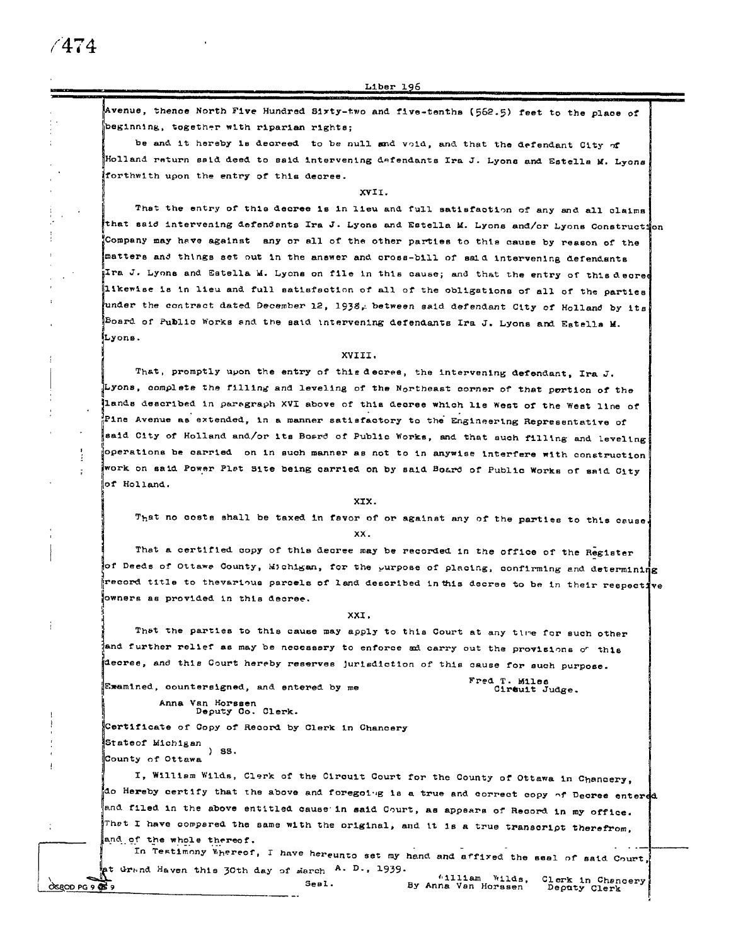4774

Liber 196

Avenue, thence North Five Hundred Sixty-two and five-tenths (562.5) feet to the place of beginning, together with riparian rights;

be and it hereby is decreed to be null and void, and that the defendant City of Holland return ssid deed to said intervening defendants Ira J. Lyons and Estells M. Lyons forthwith upon the entry of this decree.

XVII.

That the entry of this decree is in lieu and full satisfaction of any and all claims that said intervening defendants Ira J. Lyons and Estella M. Lyons and/or Lyons Construction Company may have against any or all of the other parties to this cause by reason of the matters and things set out in the answer and cross-bill of said intervening defendants Ira J. Lyons and Estella M. Lyons on file in this cause; and that the entry of this decree likewise is in lieu and full satisfaction of all of the obligations of all of the parties under the contract dated December 12, 1938, between said defendant City of Holland by its Board of Public Works and the said intervening defendants Ira J. Lyons and Estells M. Lyons.

#### XVIII.

That, promptly upon the entry of this decree, the intervening defendant, Ira J. Lyons, complete the filling and leveling of the Northeast corner of that pertion of the lands described in paragraph XVI above of this decree which lie West of the West line of pline Avenue as extended, in a manner satisfactory to the Engineering Representative of said City of Holland and/or its Bosrd of Public Works, and that such filling and leveling operations be carried on in such manner as not to in anywise interfere with construction work on said Power Plat Site being carried on by said Board of Public Works of said City of Holland.

XIX.

That no costs shall be taxed in favor of or against any of the parties to this cause. XX.

That a certified copy of this decree may be recorded in the office of the Register of Deeds of Ottawe County, Michigan, for the purpose of placing, confirming and determining record title to thevarious parcels of land described in this decree to be in their respective owners as provided in this decree.

XXI.

That the parties to this cause may apply to this Court at any time for such other and further relief as may be necessary to enforce ad carry out the provisions of this decree, and this Court hereby reserves jurisdiction of this cause for such purpose.

Examined, countersigned, and entered by me

Anna Van Horssen<br>Deputy Co. Clerk.

Fred T. Miles Circuit Judge.

Deputy Clerk

By Anna Van Horssen

Certificate of Copy of Record by Clerk in Chancery Stateof Michigan  $)$  SS. County of Ottawa

I, William Wilds, Clerk of the Circuit Court for the County of Ottawa in Chancery, do Hereby certify that the above and foregoing is a true and correct copy of Decree entered and filed in the above entitled cause in said Court, as appears of Record in my office. Thet I have compared the same with the original, and it is a true transcript therefrom. and of the whole thereof.

In Testimony Whereof, I have hereunto set my hand and affixed the seal of said Court, at Grand Haven this 30th day of march A. D., 1939.  $61111$ am Wilds, Clerk in Chancery

Seal.

 $O$  SROD PG 9  $O$   $\overline{O}$  9

Ť

÷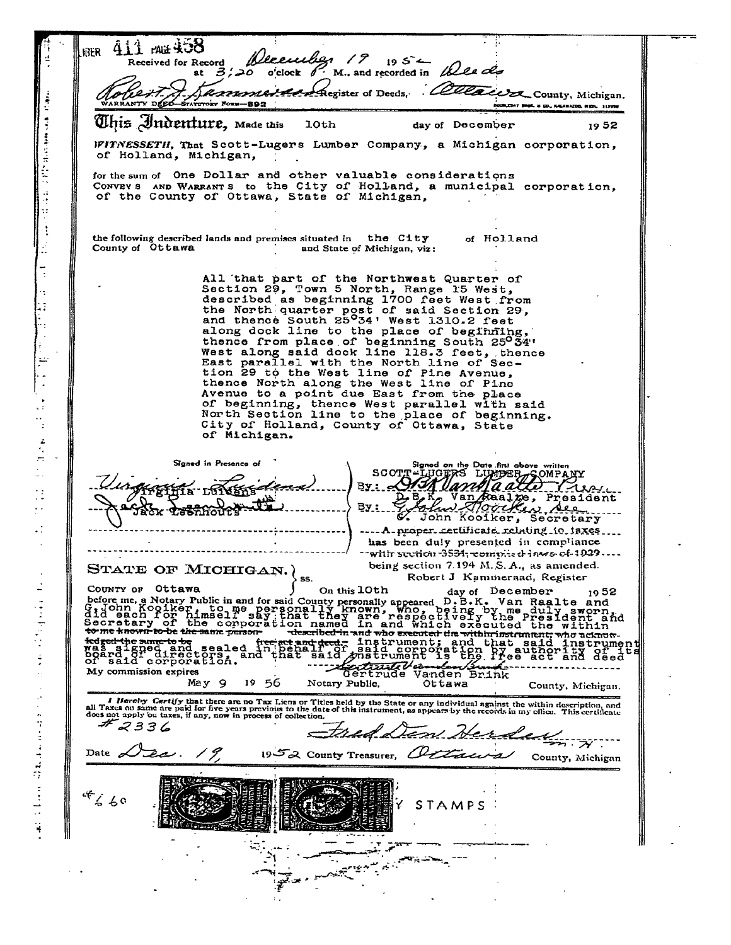411 mil 408 **KKER** Weeenber  $19$  $195^{2}$ Received for Record 6. M., and recorded in Wes des o'clock at  $\beta$ ەد Cammera Register of Deeds, Collacera County, Michigan. WARRANTY DEED-STATUTORY FORM-893 CORT BOOK & CO., KALAHAZOG, MICH. 312996  $\ddot{\ddot{\cdot}}$ This Indenture, made this **10th** day of December 1952  $\ddagger$ WITNESSETH, That Scott-Lugers Lumber Company, a Michigan corporation, of Holland, Michigan, for the sum of One Dollar and other valuable considerations CONVEY S AND WARRANTS to the City of Holland, a municipal corporation, of the County of Ottawa, State of Michigan, the following described lands and premises situated in the City of Holland County of Ottawa and State of Michigan, viz: All that part of the Northwest Quarter of<br>Section 29, Town 5 North, Range 15 West,<br>described as beginning 1700 feet West from<br>the North quarter post of said Section 29,<br>and thence South 25°34' West 1310.2 feet along dock line to the place of beginning thence from place of beginning South 25034'<br>West along said dock line 118.3 feet, thence<br>East parallel with the North line of Section 29 to the West line of Pine Avenue,<br>thence North along the West line of Pine<br>Avenue to a point due East from the place of beginning, thence West parallel with said<br>North Section line to the place of beginning.<br>City of Holland, County of Ottawa, State of Michigan. SCOTT-LUCERS LUCER SOMPANY Signed in Presence of  $By: e$ Hréfina LUINERS U **BA:** John Kooiker, Secretary .... A proper certificate relating to taxes. has been duly presented in compliance - with section 3534, complied laws of 1929.. STATE OF MICHIGAN.  $\Big\}$  ss. being section 7.194 M.S.A., as amended. Robert J Kammeraad, Register COUNTY OF Ottawa Country of Ottawa Journal Country and Country of Ottawa Journal Country and Country and Country of the componention of the componention of the componention of the componention of the componention of the componention of the On this 10th day of December 1952 May 9 1956 Notary Public, Ottawa County, Michigan. I Hereby Certify that there are no Tax Liens or Titles held by the State or any individual against the within description, and all Taxes on same are paid for five years previous to the date of this instrument, as appears b Fred Den Herden  $2336$ Date  $\sqrt{2}$ . ノタ 1952 County Treasurer, Otta County, Michigan  $466$ STAMPS م وسمي<sub>ن</sub>ي

÷,

 $\frac{1}{2}$ 

ÿ

 $\frac{1}{\sqrt{2}}$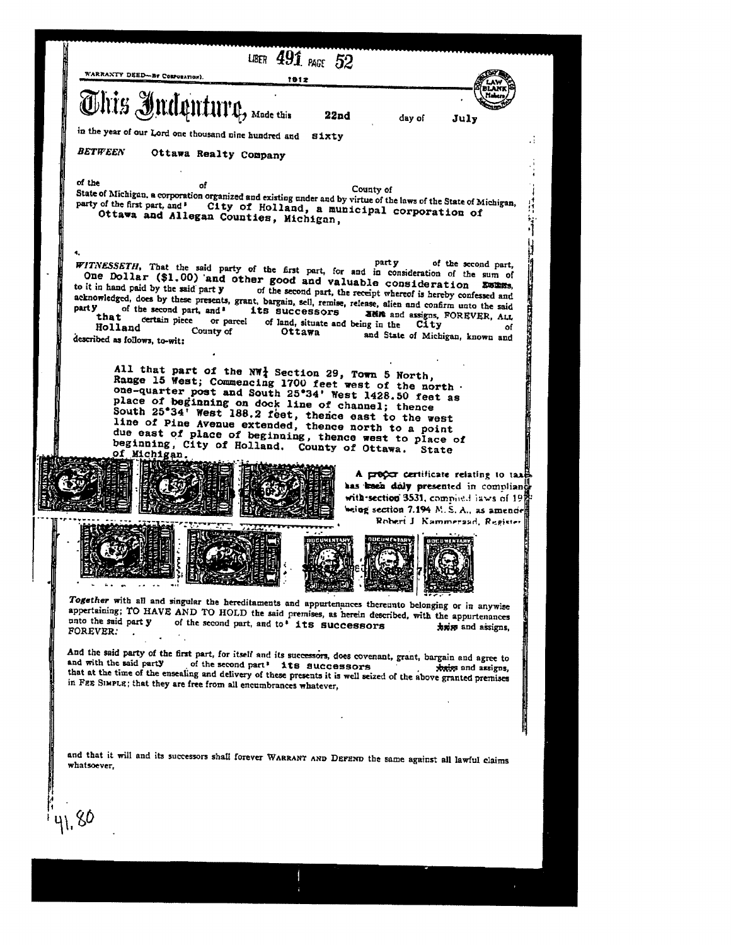